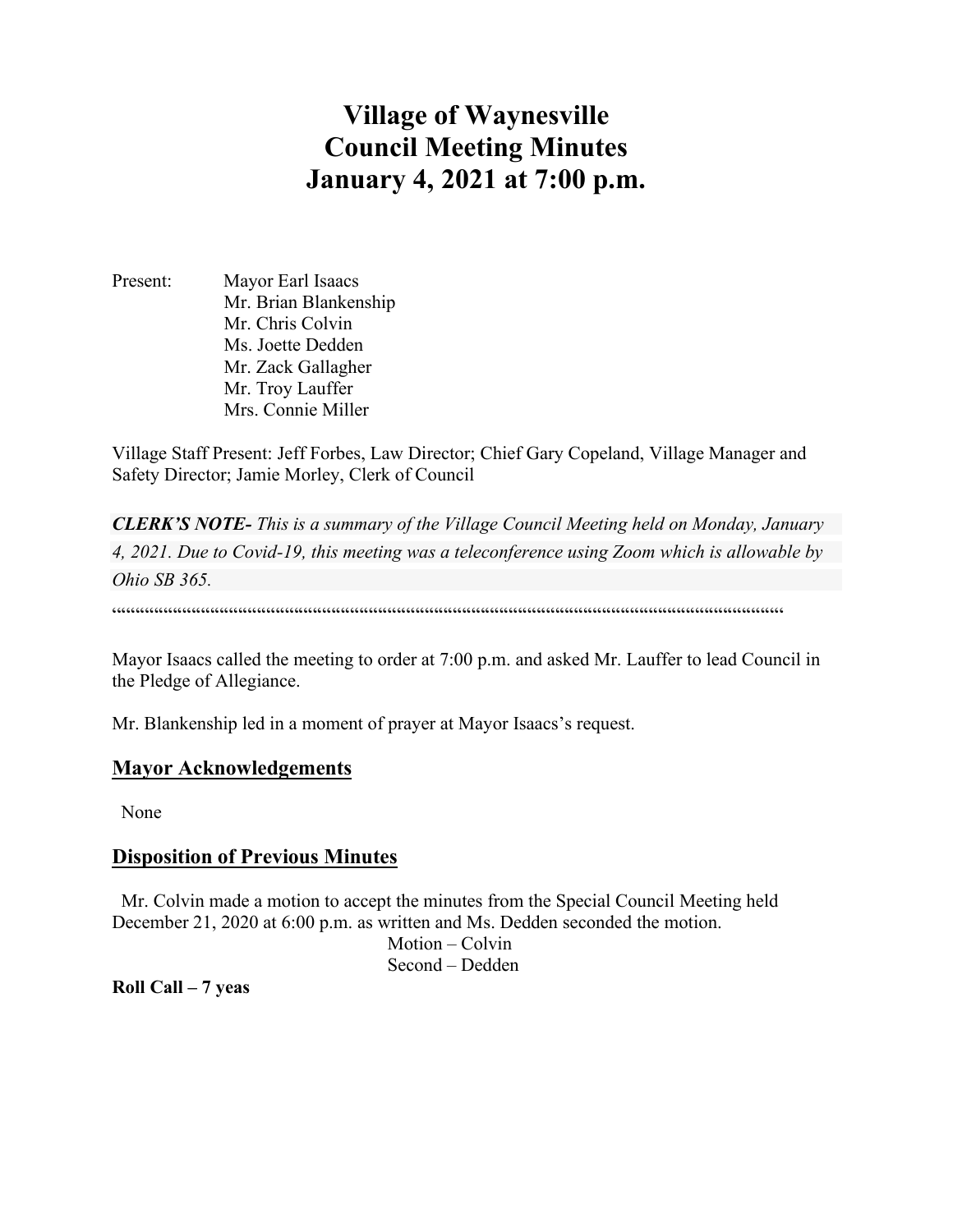# **Village of Waynesville Council Meeting Minutes January 4, 2021 at 7:00 p.m.**

Present: Mayor Earl Isaacs Mr. Brian Blankenship Mr. Chris Colvin Ms. Joette Dedden Mr. Zack Gallagher Mr. Troy Lauffer Mrs. Connie Miller

Village Staff Present: Jeff Forbes, Law Director; Chief Gary Copeland, Village Manager and Safety Director; Jamie Morley, Clerk of Council

*CLERK'S NOTE- This is a summary of the Village Council Meeting held on Monday, January 4, 2021. Due to Covid-19, this meeting was a teleconference using Zoom which is allowable by Ohio SB 365.* 

 $\label{prop:main}$ 

Mayor Isaacs called the meeting to order at 7:00 p.m. and asked Mr. Lauffer to lead Council in the Pledge of Allegiance.

Mr. Blankenship led in a moment of prayer at Mayor Isaacs's request.

#### **Mayor Acknowledgements**

None

#### **Disposition of Previous Minutes**

 Mr. Colvin made a motion to accept the minutes from the Special Council Meeting held December 21, 2020 at 6:00 p.m. as written and Ms. Dedden seconded the motion.

> Motion – Colvin Second – Dedden

**Roll Call – 7 yeas**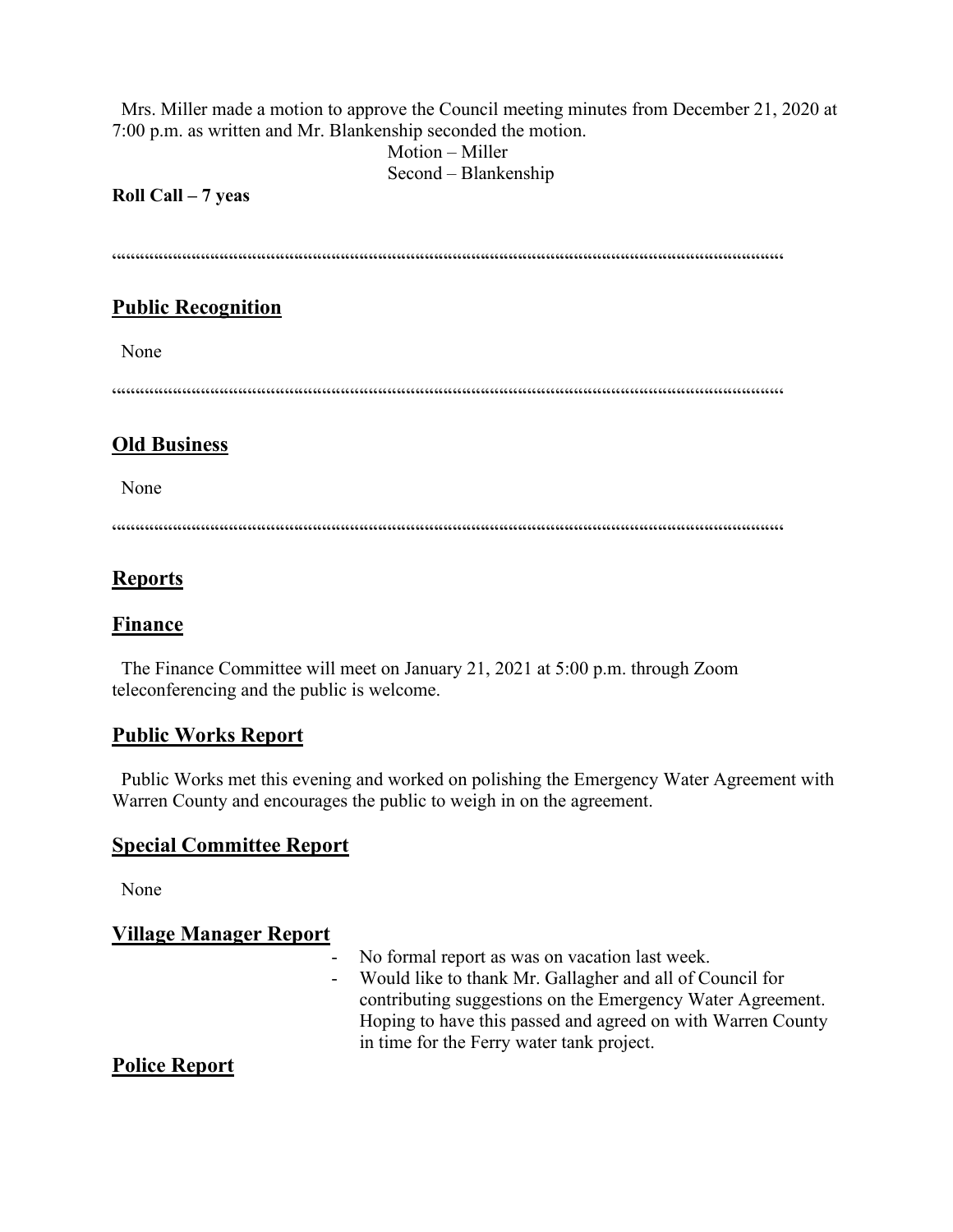Mrs. Miller made a motion to approve the Council meeting minutes from December 21, 2020 at 7:00 p.m. as written and Mr. Blankenship seconded the motion.

> Motion – Miller Second – Blankenship

#### **Roll Call – 7 yeas**

 $\label{prop:main}$ 

#### **Public Recognition**

None

""""""""""""""""""""""""""""""""""""""""""""""""""""""""""""""""""""""""

#### **Old Business**

None

 $\label{prop:main}$ 

### **Reports**

#### **Finance**

The Finance Committee will meet on January 21, 2021 at 5:00 p.m. through Zoom teleconferencing and the public is welcome.

#### **Public Works Report**

 Public Works met this evening and worked on polishing the Emergency Water Agreement with Warren County and encourages the public to weigh in on the agreement.

## **Special Committee Report**

None

#### **Village Manager Report**

|  | - No formal report as was on vacation last week.            |
|--|-------------------------------------------------------------|
|  | - Would like to thank Mr. Gallagher and all of Council for  |
|  | contributing suggestions on the Emergency Water Agreement.  |
|  | Hoping to have this passed and agreed on with Warren County |
|  | in time for the Ferry water tank project.                   |

#### **Police Report**